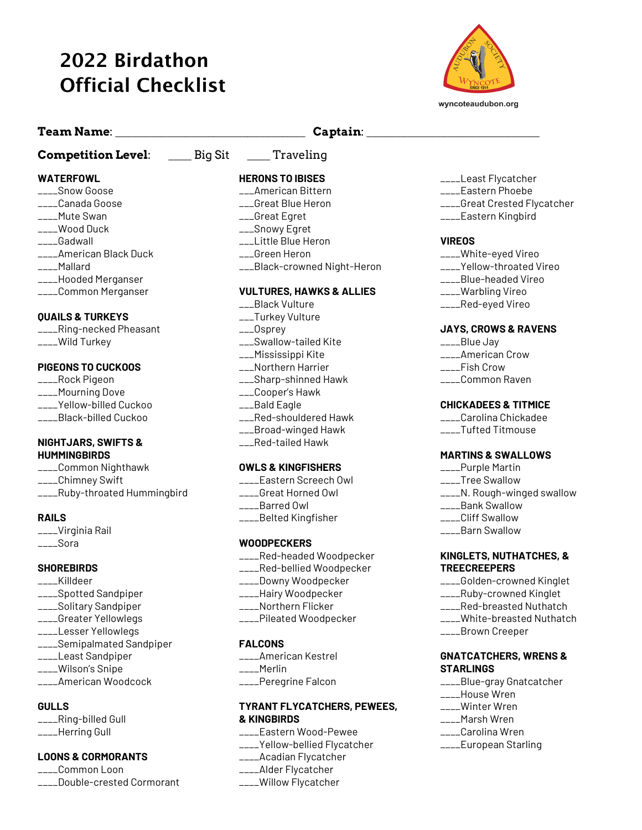# 2022 Birdathon Official Checklist



#### **Team Name**: \_\_\_\_\_\_\_\_\_\_\_\_\_\_\_\_\_\_\_\_\_\_\_\_\_\_\_\_\_\_\_\_\_ **Captain**: \_\_\_\_\_\_\_\_\_\_\_\_\_\_\_\_\_\_\_\_\_\_\_\_\_\_\_\_\_\_

# **Competition Level**: \_\_\_\_ Big Sit \_\_\_\_ Traveling

#### **WATERFOWL**

- \_\_\_\_Snow Goose
- \_\_\_\_Canada Goose
- \_\_\_\_Mute Swan
- \_\_\_\_Wood Duck
- \_\_\_\_Gadwall
- \_\_\_\_American Black Duck
- \_\_\_\_Mallard
- \_\_\_\_Hooded Merganser
- \_\_\_\_Common Merganser

#### **QUAILS & TURKEYS**

- \_\_\_\_Ring-necked Pheasant
- \_\_\_\_Wild Turkey

#### **PIGEONS TO CUCKOOS**

- \_\_\_\_Rock Pigeon
- \_\_\_\_Mourning Dove
- \_\_\_\_Yellow-billed Cuckoo
- \_\_\_\_Black-billed Cuckoo

#### **NIGHTJARS, SWIFTS & HUMMINGBIRDS**

- \_\_\_\_Common Nighthawk
- \_\_\_\_Chimney Swift
- \_\_\_\_Ruby-throated Hummingbird

#### **RAILS**

- \_\_\_\_Virginia Rail
- $\overline{\phantom{a} \phantom{a}}$

#### **SHOREBIRDS**

- \_\_\_\_Killdeer
- \_\_\_\_Spotted Sandpiper
- \_\_\_\_Solitary Sandpiper
- \_\_\_\_Greater Yellowlegs
- \_\_\_\_Lesser Yellowlegs
- \_\_\_\_Semipalmated Sandpiper
- \_\_\_\_Least Sandpiper
- \_\_\_\_Wilson's Snipe
- \_\_\_\_American Woodcock

#### **GULLS**

- \_\_\_\_Ring-billed Gull \_\_\_\_Herring Gull
- 

## **LOONS & CORMORANTS**

\_\_\_\_Common Loon \_\_\_\_Double-crested Cormorant

### **HERONS TO IBISES**

- \_\_\_American Bittern
- \_\_\_Great Blue Heron
- \_\_\_Great Egret
- \_\_\_Snowy Egret
- \_\_\_Little Blue Heron
- \_\_\_Green Heron
- \_\_\_Black-crowned Night-Heron

#### **VULTURES, HAWKS & ALLIES**

- \_\_\_Black Vulture \_\_\_Turkey Vulture \_\_\_Osprey \_\_\_Swallow-tailed Kite \_\_\_Mississippi Kite
- \_\_\_Northern Harrier
- \_\_\_Sharp-shinned Hawk
- \_\_\_Cooper's Hawk \_\_\_Bald Eagle
- \_\_\_Red-shouldered Hawk
- \_\_\_Broad-winged Hawk
- 
- \_\_\_Red-tailed Hawk

#### **OWLS & KINGFISHERS**

- \_\_\_\_Eastern Screech Owl \_\_\_\_Great Horned Owl \_\_\_\_Barred Owl \_\_\_\_Belted Kingfisher
- 

#### **WOODPECKERS**

- \_\_\_\_Red-headed Woodpecker
- \_\_\_\_Red-bellied Woodpecker
- \_\_\_\_Downy Woodpecker
- \_\_\_\_Hairy Woodpecker
- \_\_\_\_Northern Flicker
- \_\_\_\_Pileated Woodpecker

#### **FALCONS**

- \_\_\_\_American Kestrel
- \_\_\_\_Merlin \_\_\_\_Peregrine Falcon
- **TYRANT FLYCATCHERS, PEWEES, & KINGBIRDS**
- \_\_\_\_Eastern Wood-Pewee
- \_\_\_\_Yellow-bellied Flycatcher
- \_\_\_\_Acadian Flycatcher
- \_\_\_\_Alder Flycatcher
- \_\_\_\_Willow Flycatcher
- \_\_\_\_Least Flycatcher
- \_\_\_\_Eastern Phoebe
- \_\_\_\_Great Crested Flycatcher
- \_\_\_\_Eastern Kingbird

#### **VIREOS**

- \_\_\_\_White-eyed Vireo
- \_\_\_\_Yellow-throated Vireo
- \_\_\_\_Blue-headed Vireo
- \_\_\_\_Warbling Vireo
- \_\_\_\_Red-eyed Vireo

#### **JAYS, CROWS & RAVENS**

- \_\_\_\_Blue Jay
- \_\_\_\_American Crow
- \_\_\_\_Fish Crow
- \_\_\_\_Common Raven

#### **CHICKADEES & TITMICE**

- \_\_\_\_Carolina Chickadee
- \_\_\_\_Tufted Titmouse

\_\_\_\_Purple Martin \_\_\_\_Tree Swallow

\_\_\_\_Bank Swallow \_\_\_\_Cliff Swallow \_\_\_\_Barn Swallow

**TREECREEPERS**

\_\_\_\_Brown Creeper

**STARLINGS**

\_\_\_\_House Wren \_\_\_\_Winter Wren \_\_\_\_Marsh Wren \_\_\_\_Carolina Wren \_\_\_\_European Starling

### **MARTINS & SWALLOWS**

\_\_\_\_N. Rough-winged swallow

**KINGLETS, NUTHATCHES, &**

\_\_\_\_Golden-crowned Kinglet \_\_\_\_Ruby-crowned Kinglet \_\_\_\_Red-breasted Nuthatch \_\_\_\_White-breasted Nuthatch

**GNATCATCHERS, WRENS &**

\_\_\_\_Blue-gray Gnatcatcher